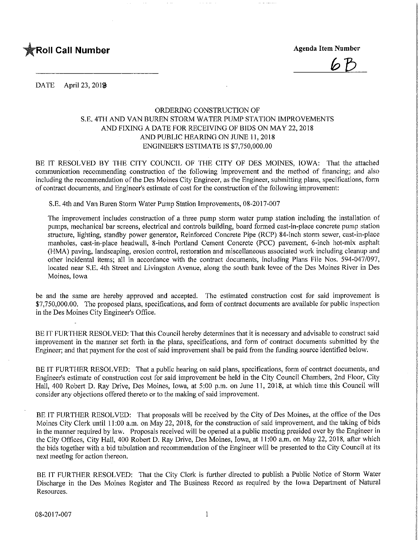

**Agenda Item Number** 

DATE April 23, 201<sup>9</sup>

## ORDERING CONSTRUCTION OF S.E. 4TH AND VAN BUREN STORM WATER PUMP STATION IMPROVEMENTS AND FIXING A DATE FOR RECEIVING OF BIDS ON MAY 22,2018 AND PUBLIC HEARING ON JUNE 11,2018 ENGINEER'S ESTIMATE IS \$7,750,000.00

BE IT RESOLVED BY THE CITY COUNCIL OF THE CITY OF DES MOINES, IOWA: That the attached communication recommending construction of the following improvement and the method of financing; and also including the recommendation of the Des Moines City Engineer, as the Engineer, submitting plans, specifications, form of contract documents, and Engineer's estimate of cost for the construction ofthe following improvement:

S.E. 4th and Van Buren Storm Water Pump Station Improvements, 08-2017-007

The improvement includes construction of a three pump storm water pump station including the installation of pumps, mechanical bar screens, electrical and controls building, board formed cast-in-place concrete pump station structure, lighting, standby power generator, Reinforced Concrete Pipe (RCP) 84-inch storm sewer, cast-in-place manholes, cast-in-place headwall, 8-inch Portland Cement Concrete (PCC) pavement, 6-inch hot-mix asphalt (HMA) paving, landscaping, erosion control, restoration and miscellaneous associated work including cleanup and other incidental items; all in accordance with the contract documents, including Plans File Nos. 594-047/097, located near S.E. 4th Street and Livingston Avenue, along the south bank levee of the Des Moines River in Des Moines, Iowa

be and the same are hereby approved and accepted. The estimated construction cost for said improvement is \$7,750,000.00. The proposed plans, specifications, and form of contract documents are available for public inspection in the Des Moines City Engineer's Office.

BE IT FURTHER RESOLVED: That this Council hereby determines that it is necessary and advisable to construct said improvement in the manner set forth in the plans, specifications, and form of contract documents submitted by the Engineer; and that payment for the cost of said improvement shall be paid from the funding source identified below.

BE IT FURTHER RESOLVED: That a public hearing on said plans, specifications, form of contract documents, and Engineer's estimate of construction cost for said improvement be held in the City Council Chambers, 2nd Floor, City Hall, 400 Robert D. Ray Drive, Des Moines, Iowa, at 5:00 p.m. on June 11, 2018, at which time this Council will consider any objections offered thereto or to the making of said improvement.

BE IT FURTHER RESOLVED: That proposals will be received by the City of Des Moines, at the office of the Des Moines City Clerk until 11:00 a.m. on May 22, 2018, for the construction of said improvement, and the taking of bids in the manner required by law. Proposals received will be opened at a public meeting presided over by the Engineer in the City Offices, City Hall, 400 Robert D. Ray Drive, Des Moines, Iowa, at 1 1:00 a.m. on May 22, 2018, after which the bids together with a bid tabulation and recommendation of the Engineer will be presented to the City Council at its next meeting for action thereon.

BE IT FURTHER RESOLVED: That the City Clerk is further directed to publish a Public Notice of Storm Water Discharge in the Des Moines Register and The Business Record as required by the Iowa Department of Natural Resources.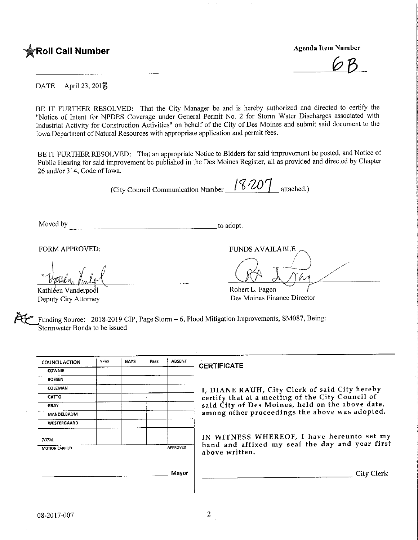

 $\varphi$ 

DATE April 23, 2018

BE IT FURTHER RESOLVED: That the City Manager be and is hereby authorized and directed to certify the "Notice of Intent for NPDES Coverage under General Permit No. 2 for Storm Water Discharges associated with Industrial Activity for Construction Activities" on behalf of the City of Des Moines and submit said document to the Iowa Department of Natural Resources with appropriate application and permit fees.

BE IT FURTHER RESOLVED: That an appropriate Notice to Bidders for said improvement be posted, and Notice of Public Hearing for said improvement be published in the Des Moines Register, all as provided and directed by Chapter 26 and/or 314, Code of Iowa.

(City Council Communication Number  $18207$  attached.)

Moved by  $\qquad \qquad$  to adopt.

Kathléen Vanderpool Deputy City Attorney

FORM APPROVED: THE RESERVED FUNDS AVAILABLE

Robert L. Fagen Des Moines Finance Director

Funding Source:  $2018-2019$  CIP, Page Storm  $-6$ , Flood Mitigation Improvements, SM087, Being: Stormwater Bonds to be issued

| <b>COUNCIL ACTION</b> | <b>YEAS</b> | <b>NAYS</b> | Pass | <b>ABSENT</b> | <b>CERTIFICATE</b>                                                                            |  |  |  |  |  |  |
|-----------------------|-------------|-------------|------|---------------|-----------------------------------------------------------------------------------------------|--|--|--|--|--|--|
| <b>COWNIE</b>         |             |             |      |               |                                                                                               |  |  |  |  |  |  |
| <b>BOESEN</b>         |             |             |      |               |                                                                                               |  |  |  |  |  |  |
| COLEMAN               |             |             |      |               | I, DIANE RAUH, City Clerk of said City hereby                                                 |  |  |  |  |  |  |
| <b>GATTO</b>          |             |             |      |               | certify that at a meeting of the City Council of                                              |  |  |  |  |  |  |
| <b>GRAY</b>           |             |             |      |               | said City of Des Moines, held on the above date,                                              |  |  |  |  |  |  |
| MANDELBAUM            |             |             |      |               | among other proceedings the above was adopted.                                                |  |  |  |  |  |  |
| WESTERGAARD           |             |             |      |               |                                                                                               |  |  |  |  |  |  |
| <b>TOTAL</b>          |             |             |      |               | IN WITNESS WHEREOF, I have hereunto set my<br>hand and affixed my seal the day and year first |  |  |  |  |  |  |
| <b>MOTION CARRIED</b> |             |             |      | APPROVED      | above written.                                                                                |  |  |  |  |  |  |
|                       |             |             |      | Mayor         | <b>City Clerk</b>                                                                             |  |  |  |  |  |  |
|                       |             |             |      |               |                                                                                               |  |  |  |  |  |  |

 $\overline{2}$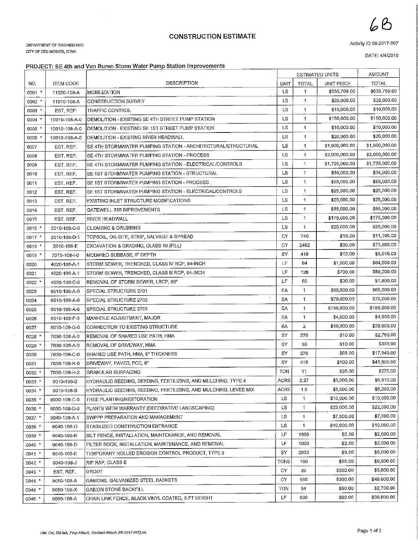## **CONSTRUCTION ESTIMATE**

DEPARTMENT OF ENGINEERING CITY OF DES MOINES, IOWA

Activity ID 08-2017-007

DATE: 4/4/2018

٦

6B

## PROJECT: SE 4th and Van Buren Storm Water Pump Station Improvements

|            |                  |                                                                  |             | <b>ESTIMATED UNITS</b> | <b>AMOUNT</b>  |                |
|------------|------------------|------------------------------------------------------------------|-------------|------------------------|----------------|----------------|
| NO.        | <b>ITEM CODE</b> | DESCRIPTION                                                      | <b>UNIT</b> | <b>TOTAL</b>           | UNIT PRICE     | <b>TOTAL</b>   |
| $0001$ *   | 11020-108-A      | MOBILIZATION                                                     | LS          | 1                      | \$635,769.00   | \$635,769.00   |
| $0002$ *   | 11010-108-A      | CONSTRUCTION SURVEY                                              | LS          | 1                      | \$25,000.00    | \$25,000.00    |
| 0003 *     | EST, REF.        | <b>TRAFFIC CONTROL</b>                                           | LS          | 1                      | \$10,000.00    | \$10,000.00    |
| 0004       | 10010-108-A-0    | DEMOLITION - EXISTING SE 4TH STREET PUMP STATION                 | <b>LS</b>   | $\mathbf{1}$           | \$150,000,00   | \$150,000.00   |
| 0005 *     | 10010-108-A-0    | DEMOLITION - EXISTING SE 1ST STREET PUMP STATION                 | LS          | $\mathbf{1}$           | \$10,000.00    | \$10,000.00    |
| 0006       | 10010-108-A-0    | DEMOLITION - EXISTING RIVER HEADWALL                             | LS          | 1                      | \$20,000.00    | \$20,000.00    |
| 0007       | EST, REF.        | SE 4TH STORMWATER PUMPING STATION - ARCHITECTURAL/STRUCTURAL     | LS          | 1                      | \$1,900,000.00 | \$1,900,000.00 |
| 0008       | EST, REF.        | SE 4TH STORMWATER PUMPING STATION - PROCESS                      | LS          | 1                      | \$2,000,000.00 | \$2,000,000.00 |
| 0009       | EST. REF.        | SE 4TH STORMWATER PUMPING STATION - ELECTRICAL/CONTROLS          | LS          | 1                      | \$1,725,000.00 | \$1,725,000.00 |
| 0010       | EST. REF.        | SE 1ST STORMWATER PUMPING STATION - STRUCTURAL                   |             | 1                      | \$34,000.00    | \$34,000.00    |
| 0011       | EST. REF.        | SE 1ST STORMWATER PUMPING STATION - PROCESS                      |             | 1                      | \$55,000.00    | \$55,000.00    |
| 0012       | EST. REF.        | SE 1ST STORMWATER PUMPING STATION - ELECTRICAL/CONTROLS          |             | $\mathbf{1}$           | \$25,000.00    | \$25,000.00    |
| 0013       | EST. REF.        | EXISTING INLET STRUCTURE MODIFICATIONS                           | <b>LS</b>   | 1                      | \$25,000,00    | \$25,000.00    |
| 0014       | EST. REF.        | GATEWELL 330 IMPROVEMENTS                                        | LS          | 1                      | \$55,000,00    | \$55,000,00    |
| 0015       | EST. REF.        | <b>RIVER HEADWALL</b>                                            | LS          | 1                      | \$175,000.00   | \$175,000.00   |
| 0016 *     | 2010-108-C-0     | <b>CLEARING &amp; GRUBBING</b>                                   | LS          | 1                      | \$25,000.00    | \$25,000.00    |
| 0017 *     | 2010-108-D-1     | TOPSOIL, ON-SITE, STRIP, SALVAGE & SPREAD                        | CY          | 740                    | \$15.00        | \$11,100.00    |
| $0018$ *   | 2010-108-E       | EXCAVATION & GRADING, CLASS 10 (FILL)                            | CY          | 2462                   | \$30.00        | \$73,860.00    |
| $0019$ *   | 2010-108-I-0     | MODIFIED SUBBASE, 6" DEPTH                                       | SY          | 418                    | \$12.00        | \$5,016.00     |
| 0020       | 4020-108-A-1     | STORM SEWER, TRENCHED, CLASS IV RCP, 84-INCH                     | LF          | 64                     | \$1,000,00     | \$64,000.00    |
| 0021       | 4020-108-A-1     | STORM SEWER, TRENCHED, CLASS III RCP, 84-INCH                    | LF          | 126                    | \$700.00       | \$88,200.00    |
| 0022 *     | 4020-108-C-0     | REMOVAL OF STORM SEWER, LRCP, 66"                                | LF          | 60                     | \$30.00        | \$1,800.00     |
| 0023       | 6010-108-A-0     | SPECIAL STRUCTURE 2701                                           | EA          | 1                      | \$65,000.00    | \$65,000.00    |
| 0024       | 6010-108-A-0     | SPECIAL STRUCTURE 2702                                           | EA          | 1                      | \$70,000,00    | \$70,000.00    |
| 0025       | 6010-108-A-0     | SPECIAL STRUCTURE 2703                                           | EA          | 1                      | \$185,000.00   | \$185,000.00   |
| 0026       | 6010-108-F-0     | MANHOLE ADJUSTMENT, MAJOR                                        | EA          | 1                      | \$4,000,00     | \$4,000.00     |
| 0027       | 6010-108-G-0     | CONNECTION TO EXISTING STRUCTURE                                 | EA          | 2                      | \$10,000.00    | \$20,000.00    |
| $0028$ *   | 7030-108-A-0     | REMOVAL OF SHARED USE PATH, HMA                                  | SY          | 276                    | \$10.00        | \$2,760.00     |
| $0029$ *   | 7030-108-A-0     | REMOVAL OF DRIVEWAY, HMA                                         | SY          | 35                     | \$10.00        | \$350,00       |
| 0030       | 7030-108-C-0     | SHARED USE PATH, HMA, 6" THICKNESS                               | SY          | 276                    | \$65.00        | \$17,940.00    |
| 0031       | 7030-108-H-0     | DRIVEWAY, PAVED, PCC, 8"                                         | SY          | 418                    | \$100.00       | \$41,800.00    |
| $0032$ *   | 7030-108-H-2     | <b>GRANULAR SURFACING</b>                                        | <b>TON</b>  | 11                     | \$25,00        | \$275.00       |
| $0033 *$   | 9010-108-B       | HYDRAULIC SEEDING, SEEDING, FERTILIZING, AND MULCHING, TYPE 4    | ACRE        | 2.27                   | \$3,000.00     | \$6,810.00     |
| 0034 *     | 9010-108-B       | HYDRAULIC SEEDING, SEEDING, FERTILIZING, AND MULCHING, LEVEE MIX | ACRE        | 1.5                    | \$5,500.00     | \$8,250.00     |
| 0035       | 9030-108-C-0     | TREE PLANTING/RESTORATION                                        | LS          | 1                      | \$10,000.00    | \$10,000.00    |
| $0036$ *   | 9030-108-D-0     | PLANTS WITH WARRANTY (DECORATIVE LANDSCAPING)                    | LS          | 1                      | \$22,000.00    | \$22,000.00    |
| $0037$ *   | 9040-108-A-1     | SWPPP PREPARATION AND MANAGEMENT                                 | LS          | 1                      | \$7,500.00     | \$7,500.00     |
| 0038'      | 9040-108-O       | STABILIZED CONSTRUCTION ENTRANCE                                 | LS          | $\mathbf{1}$           | \$10,000.00    | \$10,000.00    |
| $0039$ *   | 9040-108-N       | SILT FENCE, INSTALLATION, MAINTENANCE, AND REMOVAL               | LF          | 1000                   | \$2,50         | \$2,500.00     |
| $0040$ $*$ | 9040-108-D       | FILTER SOCK, INSTALLATION, MAINTENANCE, AND REMOVAL              | LF          | 1000                   | \$2.50         | \$2,500.00     |
| $0041$ *   | 9040-108-E       | TEMPORARY ROLLED EROSION CONTROL PRODUCT, TYPE 3                 | SY          | 2000                   | \$3,00         | \$6,000.00     |
| $0042$ *   | 9040-108-J       | RIP RAP, CLASS E                                                 | TONS        | 180                    | \$55.00        | \$9,900,00     |
| $0043$ $*$ | EST. REF.        | GROUT                                                            | CY          | 20                     | \$250,00       | \$5,000.00     |
| $0044$ *   | 9050-108-A       | GABIONS, GALVANIZED STEEL BASKETS                                | CY          | 160                    | \$300.00       | \$48,000.00    |
| $0045$ *   | 9050-108-X       | <b>GABION STONE BACKFILL</b>                                     | TON         | 54                     | \$50,00        | \$2,700.00     |
| $0046$ *   | 9060-108-A       | CHAIN LINK FENCE, BLACK VINYL COATED, 8-FT HEIGHT                | LF          | 500                    | \$60.00        | \$30,000.00    |